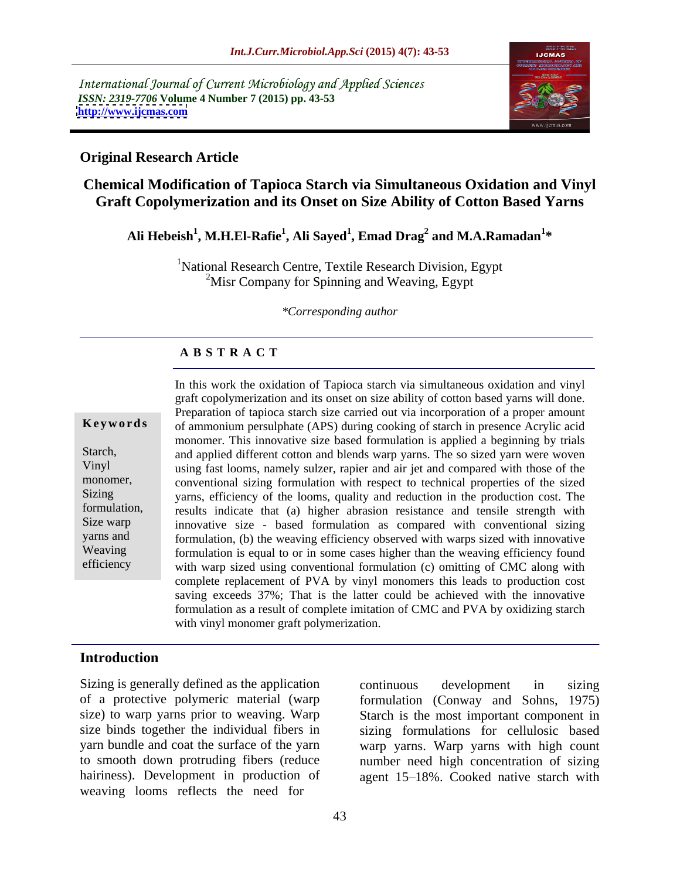International Journal of Current Microbiology and Applied Sciences *ISSN: 2319-7706* **Volume 4 Number 7 (2015) pp. 43-53 <http://www.ijcmas.com>**



# **Original Research Article**

# **Chemical Modification of Tapioca Starch via Simultaneous Oxidation and Vinyl Graft Copolymerization and its Onset on Size Ability of Cotton Based Yarns**

 $\boldsymbol{\mathrm{All}}$   $\boldsymbol{\mathrm{Hebeish^1}}, \boldsymbol{\mathrm{M.H.El-Rafie^1}}, \boldsymbol{\mathrm{Ali}}$   $\boldsymbol{\mathrm{Sayed^1}}, \boldsymbol{\mathrm{Emad}}$   $\boldsymbol{\mathrm{Drag^2}}$  and  $\boldsymbol{\mathrm{M.A.Ramadan^{1*}}}$ **and M.A.Ramadan<sup>1</sup> \***

<sup>1</sup>National Research Centre, Textile Research Division, Egypt  $2^2$ Misr Company for Spinning and Weaving, Egypt

*\*Corresponding author*

## **A B S T R A C T**

efficiency

In this work the oxidation of Tapioca starch via simultaneous oxidation and vinyl graft copolymerization and its onset on size ability of cotton based yarns will done. Preparation of tapioca starch size carried out via incorporation of a proper amount of ammonium persulphate (APS) during cooking of starch in presence Acrylic acid **Ke ywo rds** monomer. This innovative size based formulation is applied a beginning by trials Starch, and applied different cotton and blends warp yarns. The so sized yarn were woven using fast looms, namely sulzer, rapier and air jet and compared with those of the Vinyl monomer, conventional sizing formulation with respect to technical properties of the sized Sizing yarns, efficiency of the looms, quality and reduction in the production cost. The formulation, results indicate that (a) higher abrasion resistance and tensile strength with Size warp innovative size - based formulation as compared with conventional sizing yarns and formulation, (b) the weaving efficiency observed with warps sized with innovative Weaving formulation is equal to or in some cases higher than the weaving efficiency found with warp sized using conventional formulation (c) omitting of CMC along with complete replacement of PVA by vinyl monomers this leads to production cost saving exceeds 37%; That is the latter could be achieved with the innovative formulation as a result of complete imitation of CMC and PVA by oxidizing starch with vinyl monomer graft polymerization.

# **Introduction**

Sizing is generally defined as the application continuous development in sizing weaving looms reflects the need for

of a protective polymeric material (warp formulation (Conway and Sohns, 1975) size) to warp yarns prior to weaving. Warp Starch is the most important component in size binds together the individual fibers in sizing formulations for cellulosic based yarn bundle and coat the surface of the yarn warp yarns. Warp yarns with high count to smooth down protruding fibers (reduce number need high concentration of sizing hairiness). Development in production of agent 15–18%. Cooked native starch with continuous development in sizing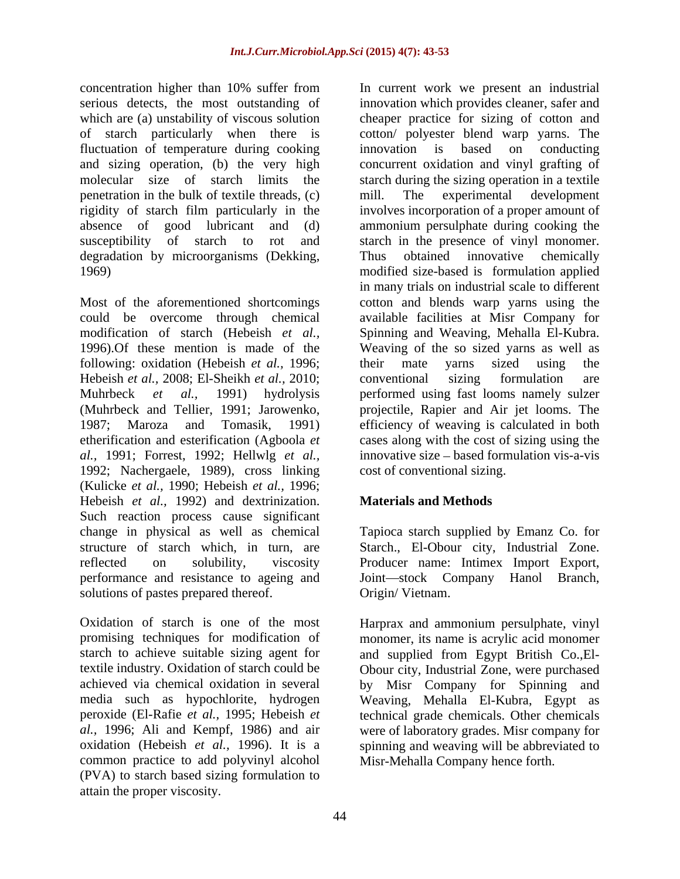concentration higher than 10% suffer from In current work we present an industrial of starch particularly when there is fluctuation of temperature during cooking innovation is based on conducting and sizing operation, (b) the very high molecular size of starch limits the penetration in the bulk of textile threads, (c)

following: oxidation (Hebeish *et al.,* 1996; Hebeish *et al.,* 2008; El-Sheikh *et al.,* 2010; *al.,* 1991; Forrest, 1992; Hellwlg *et al.,* 1992; Nachergaele, 1989), cross linking (Kulicke *et al.,* 1990; Hebeish *et al.,* 1996; Hebeish *et al.,* 1992) and dextrinization. Such reaction process cause significant change in physical as well as chemical Tapioca starch supplied by Emanz Co. for structure of starch which, in turn, are Starch., El-Obour city, Industrial Zone. reflected on solubility, viscosity Producer name: Intimex Import Export, performance and resistance to ageing and Joint—stock Company Hanol Branch, solutions of pastes prepared thereof.

Oxidation of starch is one of the most Harprax and ammonium persulphate, vinyl promising techniques for modification of monomer, its name is acrylic acid monomer starch to achieve suitable sizing agent for and supplied from Egypt British Co.,El textile industry. Oxidation of starch could be Obour city, Industrial Zone, were purchased achieved via chemical oxidation in several by Misr Company for Spinning and media such as hypochlorite, hydrogen Weaving, Mehalla El-Kubra, Egypt as peroxide (El-Rafie *et al.,* 1995; Hebeish *et*  technical grade chemicals. Other chemicals *al.,* 1996; Ali and Kempf, 1986) and air were of laboratory grades. Misr company for oxidation (Hebeish *et al.,* 1996). It is a common practice to add polyvinyl alcohol (PVA) to starch based sizing formulation to attain the proper viscosity.

serious detects, the most outstanding of innovation which provides cleaner, safer and which are (a) unstability of viscous solution cheaper practice for sizing of cotton and rigidity of starch film particularly in the involves incorporation of a proper amount of absence of good lubricant and (d) ammonium persulphate during cooking the susceptibility of starch to rot and starch in the presence of vinyl monomer. degradation by microorganisms (Dekking, Thus obtained innovative chemically modified size-based is formulation applied Most of the aforementioned shortcomings cotton and blends warp yarns using the could be overcome through chemical available facilities at Misr Company for modification of starch (Hebeish *et al.,* Spinning and Weaving, Mehalla El-Kubra. 1996).Of these mention is made of the Weaving of the so sized yarns as well as Muhrbeck *et al.,* 1991) hydrolysis performed using fast looms namely sulzer (Muhrbeck and Tellier, 1991; Jarowenko, projectile, Rapier and Air jet looms. The 1987; Maroza and Tomasik, 1991) efficiency of weaving is calculated in both etherification and esterification (Agboola *et*  cases along with the cost of sizing using the cotton/ polyester blend warp yarns. The innovation is based on conducting concurrent oxidation and vinyl grafting of starch during the sizing operation in a textile mill. The experimental development Thus obtained innovative chemically modified size-based is formulation applied in many trials on industrial scale to different their mate yarns sized using the conventional sizing formulation are innovative size – based formulation vis-a-vis cost of conventional sizing.

# **Materials and Methods**

Origin/ Vietnam.

spinning and weaving will be abbreviated to Misr-Mehalla Company hence forth.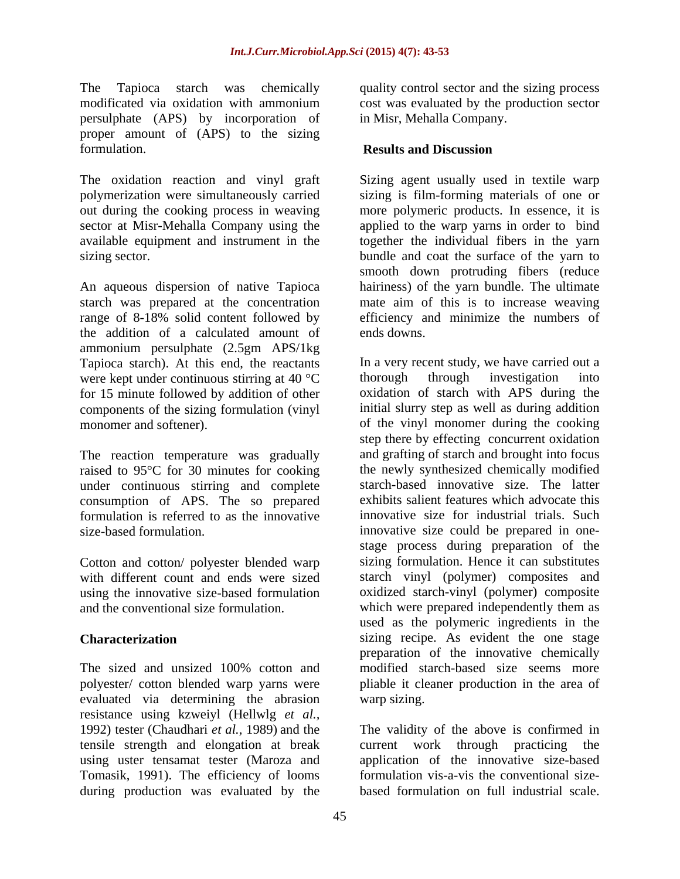The Tapioca starch was chemically quality control sector and the sizing process modificated via oxidation with ammonium cost was evaluated by the production sector persulphate (APS) by incorporation of proper amount of (APS) to the sizing formulation.

An aqueous dispersion of native Tapioca the addition of a calculated amount of ammonium persulphate (2.5gm APS/1kg Tapioca starch). At this end, the reactants were kept under continuous stirring at 40 °C thorough through investigation into components of the sizing formulation (vinyl

The reaction temperature was gradually raised to 95°C for 30 minutes for cooking under continuous stirring and complete consumption of APS. The so prepared formulation is referred to as the innovative

Cotton and cotton/ polyester blended warp with different count and ends were sized

evaluated via determining the abrasion resistance using kzweiyl (Hellwlg *et al.,* 1992) tester (Chaudhari *et al.,* 1989) and the The validity of the above is confirmed in tensile strength and elongation at break using uster tensamat tester (Maroza and Tomasik, 1991). The efficiency of looms during production was evaluated by the

in Misr, Mehalla Company.

# **Results and Discussion**

The oxidation reaction and vinyl graft Sizing agent usually used in textile warp polymerization were simultaneously carried sizing is film-forming materials of one or out during the cooking process in weaving more polymeric products. In essence, it is sector at Misr-Mehalla Company using the applied to the warp yarns in order to bind available equipment and instrument in the together the individual fibers in the yarn sizing sector. bundle and coat the surface of the yarn to starch was prepared at the concentration mate aim of this is to increase weaving range of 8-18% solid content followed by efficiency and minimize the numbers of smooth down protruding fibers (reduce hairiness) of the yarn bundle. The ultimate ends downs.

for 15 minute followed by addition of other oxidation of starch with APS during the monomer and softener). of the vinyl monomer during the cooking size-based formulation. innovative size could be prepared in one using the innovative size-based formulation oxidized starch-vinyl (polymer) composite and the conventional size formulation. which were prepared independently them as **Characterization** sizing recipe. As evident the one stage The sized and unsized 100% cotton and modified starch-based size seems more polyester/ cotton blended warp yarns were pliable it cleaner production in the area of In a very recent study, we have carried out a thorough through investigation into initial slurry step as well as during addition step there by effecting concurrent oxidation and grafting of starch and brought into focus the newly synthesized chemically modified starch-based innovative size. The latter exhibits salient features which advocate this innovative size for industrial trials. Such stage process during preparation of the sizing formulation. Hence it can substitutes starch vinyl (polymer) composites and used as the polymeric ingredients in the preparation of the innovative chemically modified starch-based size seems more warp sizing.

> current work through practicing application of the innovative size-based formulation vis-a-vis the conventional size based formulation on full industrial scale.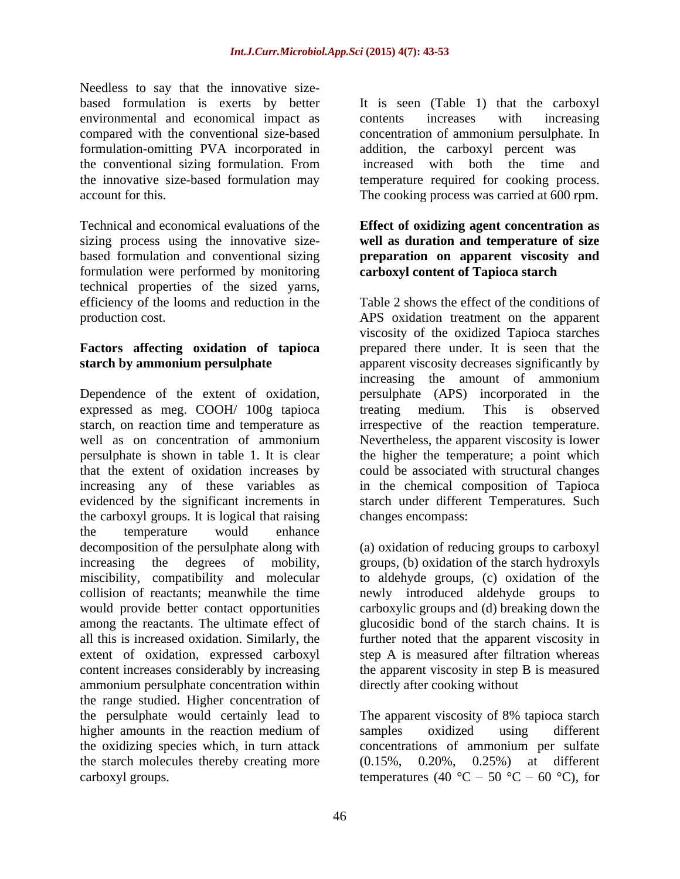Needless to say that the innovative size based formulation is exerts by better It is seen (Table 1) that the carboxyl environmental and economical impact as contents increases with increasing compared with the conventional size-based concentration of ammonium persulphate. In formulation-omitting PVA incorporated in the conventional sizing formulation. From increased with both the time and the innovative size-based formulation may temperature required for cooking process. the innovative size-based formulation may temperature required for cooking process. account for this. The cooking process was carried at 600 rpm.

Technical and economical evaluations of the **Effect of oxidizing agent concentration as** sizing process using the innovative size based formulation and conventional sizing formulation were performed by monitoring technical properties of the sized yarns, efficiency of the looms and reduction in the

Dependence of the extent of oxidation, persulphate (APS) incorporated in the expressed as meg. COOH/ 100g tapioca treating medium. This is observed starch, on reaction time and temperature as irrespective of the reaction temperature. well as on concentration of ammonium Nevertheless, the apparent viscosity is lower persulphate is shown in table 1. It is clear the higher the temperature; a point which that the extent of oxidation increases by could be associated with structural changes increasing any of these variables as evidenced by the significant increments in starch under different Temperatures. Such the carboxyl groups. It is logical that raising the temperature would enhance decomposition of the persulphate along with (a) oxidation of reducing groups to carboxyl increasing the degrees of mobility, groups, (b)oxidation of the starch hydroxyls miscibility, compatibility and molecular to aldehyde groups, (c) oxidation of the collision of reactants; meanwhile the time newly introduced aldehyde groups to would provide better contact opportunities carboxylic groups and (d) breaking down the among the reactants. The ultimate effect of glucosidic bond of the starch chains. It is all this is increased oxidation. Similarly, the further noted that the apparent viscosity in extent of oxidation, expressed carboxyl step A is measured after filtration whereas content increases considerably by increasing the apparent viscosity in step B is measured ammonium persulphate concentration within the range studied. Higher concentration of<br>the persulphate would certainly lead to the persulphate would certainly lead to The apparent viscosity of 8% tapioca starch higher amounts in the reaction medium of samples oxidized using different the oxidizing species which, in turn attack concentrations of ammonium per sulfate the starch molecules thereby creating more  $(0.15\%, 0.20\%, 0.25\%)$  at different carboxyl groups. temperatures (40  $^{\circ}$ C – 50  $^{\circ}$ C – 60  $^{\circ}$ C), for

contents increases with increasing addition, the carboxyl percent was increased with both the time and

# **well as duration and temperature of size preparation on apparent viscosity and carboxyl content of Tapioca starch**

production cost. APS oxidation treatment on the apparent **Factors affecting oxidation of tapioca** prepared there under. It is seen that the **starch by ammonium persulphate** apparent viscosity decreases significantly by Table 2 shows the effect of the conditions of viscosity of the oxidized Tapioca starches increasing the amount of ammonium treating medium. This is observed in the chemical composition of Tapioca changes encompass:

directly after cooking without

samples oxidized using different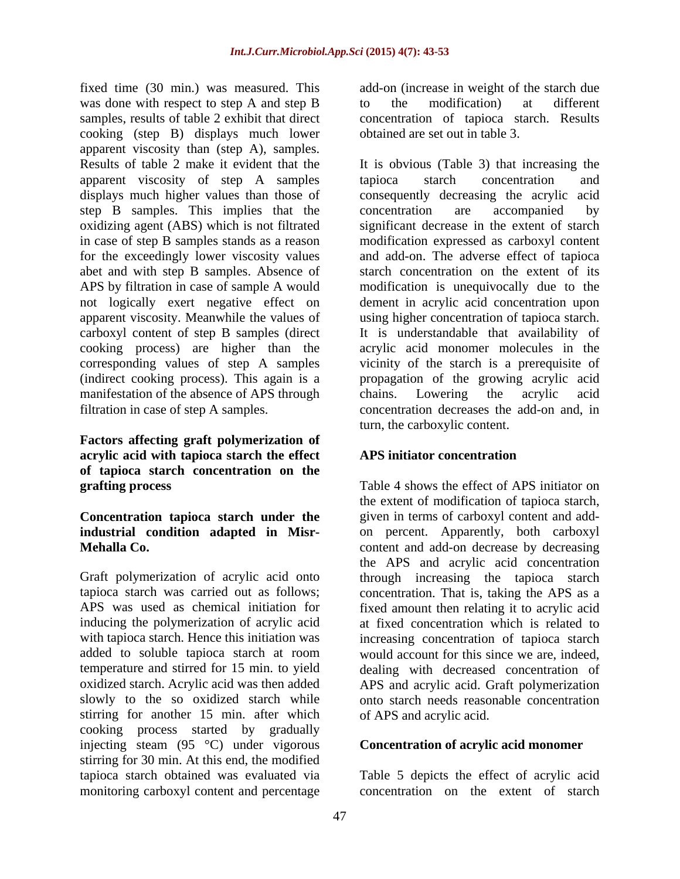fixed time (30 min.) was measured. This was done with respect to step A and step B b to the modification at different samples, results of table 2 exhibit that direct concentration of tapioca starch. Results cooking (step B) displays much lower apparent viscosity than (step A), samples. apparent viscosity of step A samples step B samples. This implies that the concentration are accompanied by for the exceedingly lower viscosity values apparent viscosity. Meanwhile the values of manifestation of the absence of APS through chains. Lowering the acrylic acid

**Factors affecting graft polymerization of acrylic acid with tapioca starch the effect of tapioca starch concentration on the**

# **Concentration tapioca starch under the**

Graft polymerization of acrylic acid onto through increasing the tapioca starch tapioca starch was carried out as follows; concentration. That is, taking the APS as a APS was used as chemical initiation for fixed amount then relating it to acrylic acid inducing the polymerization of acrylic acid at fixed concentration which is related to with tapioca starch. Hence this initiation was added to soluble tapioca starch at room would account for this since we are, indeed, temperature and stirred for 15 min. to yield dealing with decreased concentration of oxidized starch. Acrylic acid was then added APS and acrylic acid. Graft polymerization slowly to the so oxidized starch while onto starch needs reasonable concentration stirring for another 15 min. after which cooking process started by gradually injecting steam (95 °C) under vigorous stirring for 30 min. At this end, the modified tapioca starch obtained was evaluated via Table 5 depicts the effect of acrylic acid monitoring carboxyl content and percentage

add-on (increase in weight of the starch due to the modification) at different obtained are set out in table 3.

Results of table 2 make it evident that the It is obvious (Table 3) that increasing the displays much higher values than those of consequently decreasing the acrylic acid oxidizing agent (ABS) which is not filtrated significant decrease in the extent of starch in case of step B samples stands as a reason modification expressed as carboxyl content abet and with step B samples. Absence of starch concentration on the extent of its APS by filtration in case of sample A would modification is unequivocally due to the not logically exert negative effect on dement in acrylic acid concentration upon carboxyl content of step B samples (direct It is understandable that availability of cooking process) are higher than the acrylic acid monomer molecules in the corresponding values of step A samples vicinity of the starch is a prerequisite of (indirect cooking process). This again is a propagation of the growing acrylic acid filtration in case of step A samples. concentration decreases the add-on and, in tapioca starch concentration and concentration are accompanied by and add-on. The adverse effect of tapioca using higher concentration of tapioca starch. chains. Lowering the acrylic acid turn, the carboxylic content.

# **APS initiator concentration**

**grafting process** Table 4 shows the effect of APS initiator on **industrial condition adapted in Misr-** on percent. Apparently, both carboxyl **Mehalla Co. Content and add-on decrease by decreasing**  $\alpha$ the extent of modification of tapioca starch, given in terms of carboxyl content and add the APS and acrylic acid concentration increasing concentration of tapioca starch of APS and acrylic acid.

# **Concentration of acrylic acid monomer**

concentration on the extent of starch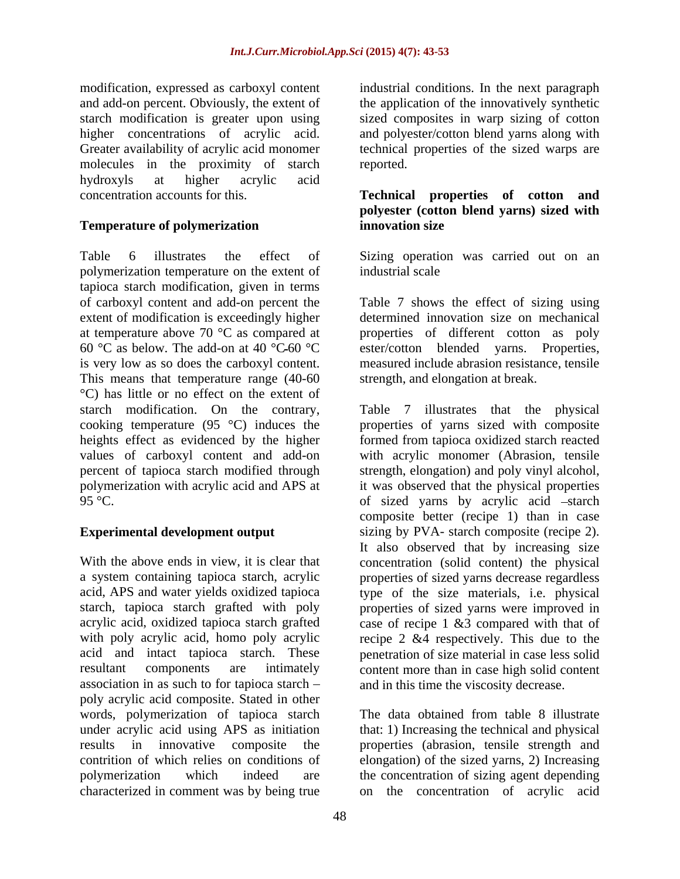modification, expressed as carboxyl content industrial conditions. In the next paragraph and add-on percent. Obviously, the extent of the application of the innovatively synthetic starch modification is greater upon using sized composites in warp sizing of cotton higher concentrations of acrylic acid. and polyester/cotton blend yarns along with Greater availability of acrylic acid monomer technical properties of the sized warps are molecules in the proximity of starch hydroxyls at higher acrylic acid

# **Temperature of polymerization**

Table 6 illustrates the effect of Sizing operation was carried out on an polymerization temperature on the extent of tapioca starch modification, given in terms of carboxyl content and add-on percent the extent of modification is exceedingly higher determined innovation size on mechanical at temperature above 70 °C as compared at properties of different cotton as poly 60 °C as below. The add-on at 40 °C-60 °C ester/cotton blended yarns. Properties, is very low as so does the carboxyl content. measured include abrasion resistance, tensile This means that temperature range (40-60 strength, and elongation at break.<br>
<sup>o</sup>C) has little or no effect on the extent of

acrylic acid, oxidized tapioca starch grafted association in as such to for tapioca starch poly acrylic acid composite. Stated in other words, polymerization of tapioca starch under acrylic acid using APS as initiation that: 1) Increasing the technical and physical results in innovative composite the properties (abrasion, tensile strength and contrition of which relies on conditions of elongation) of the sized yarns, 2) Increasing polymerization which indeed are the concentration of sizing agent depending characterized in comment was by being true

reported.

# concentration accounts for this. **Technical properties of cotton and polyester (cotton blend yarns) sized with innovation size**

industrial scale

Table 7 shows the effect of sizing using strength, and elongation at break.

starch modification. On the contrary, Table 7 illustrates that the physical cooking temperature (95 °C) induces the properties of yarns sized with composite heights effect as evidenced by the higher formed from tapioca oxidized starch reacted values of carboxyl content and add-on with acrylic monomer (Abrasion, tensile percent of tapioca starch modified through strength, elongation) and poly vinyl alcohol, polymerization with acrylic acid and APS at it was observed that the physical properties 95 °C. The starch start of sized yarns by acrylic acid -starch start of start of start acid start of start and  $\sim$ **Experimental development output** sizing by PVA- starch composite (recipe 2). With the above ends in view, it is clear that concentration (solid content) the physical a system containing tapioca starch, acrylic properties of sized yarns decrease regardless acid, APS and water yields oxidized tapioca type of the size materials, i.e. physical starch, tapioca starch grafted with poly properties of sized yarns were improved in with poly acrylic acid, homo poly acrylic recipe 2 &4 respectively. This due to the acid and intact tapioca starch. These penetration of size material in caseless solid resultant components are intimately content more than in case high solid content composite better (recipe 1) than in case It also observed that by increasing size case of recipe 1 &3 compared with that of and in this time the viscosity decrease.

> The data obtained from table 8 illustrate on the concentration of acrylic acid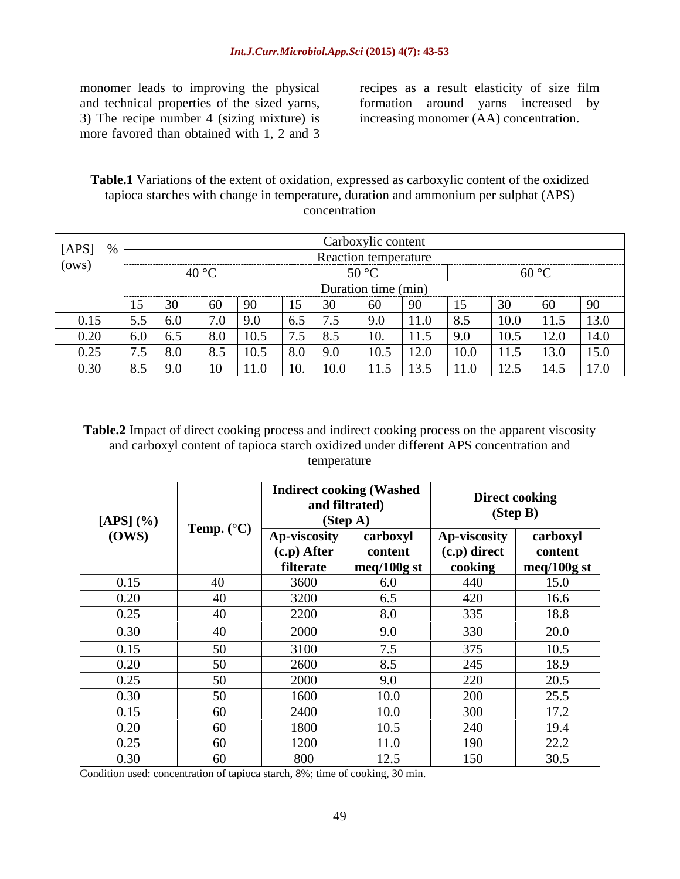and technical properties of the sized yarns, 3) The recipe number 4 (sizing mixture) is more favored than obtained with 1, 2 and 3

monomer leads to improving the physical recipes as a result elasticity of size film formation around yarns increased by increasing monomer (AA) concentration.

**Table.1** Variations of the extent of oxidation, expressed as carboxylic content of the oxidized tapioca starches with change in temperature, duration and ammonium per sulphat (APS) concentration contraction contraction contraction contraction contraction contraction contraction contraction contraction contraction contraction contraction contraction contraction contraction contraction contraction cont

| [APS] |                               |         |       |             |     |                | Carboxylic content   |      |      |      |                       |      |
|-------|-------------------------------|---------|-------|-------------|-----|----------------|----------------------|------|------|------|-----------------------|------|
|       |                               |         |       |             |     |                | Reaction temperature |      |      |      |                       |      |
| (0ws) |                               |         | 40 °C |             |     | 500C           |                      |      |      | VV.  |                       |      |
|       |                               |         |       |             |     |                | Duration time (min)  |      |      |      |                       |      |
|       |                               |         |       | $\alpha$    |     |                |                      |      |      |      | $\pm 60$              |      |
| 0.15  | 55<br>$\cup \, \cdot \, \cup$ | 6.0     |       | $\vert$ 9.0 |     | $\overline{a}$ |                      | 11.0 | 8.5  | 10.U | 115<br>$ 11.5\rangle$ | 13.0 |
| 0.20  |                               |         | 8.0   | 10.5        |     | 8.5            | 10.                  | 11.5 | 9.0  | 10.5 | 12.0                  | 14.0 |
| 0.25  |                               | ∣ R.    |       |             |     | 19.0           | 10.5                 | 12.0 | 10.0 | .    | $\vert$ 13.0          | 15.0 |
| 0.30  |                               | $-19.6$ |       |             | TO. | 10.0           | $11.5$ 13.5          |      | 11.0 |      | $12.5$   14.5         | 17.0 |

**Table.2** Impact of direct cooking process and indirect cooking process on the apparent viscosity and carboxyl content of tapioca starch oxidized under different APS concentration and temperature and the state of the state of the state of the state of the state of the state of the state of the state of the state of the state of the state of the state of the state of the state of the state of the state o

| $[APS]$ (%) | Temp. $(^{\circ}C)$ | and filtrated)<br>(Stop A) | <b>Indirect cooking (Washed</b> |                         | <b>Direct cooking</b><br>(Step B) |
|-------------|---------------------|----------------------------|---------------------------------|-------------------------|-----------------------------------|
| (OWS)       |                     | Ap-viscosity               | carboxyl                        | <b>Ap-viscosity</b>     | carboxyl                          |
|             |                     | $(c.p)$ After<br>filterate | content<br>meq/100g st          | (c.p) direct<br>cooking | content<br>$meq/100g$ st          |
| 0.15        | 40                  | 3600                       | 6.0                             | 440                     | 15.0                              |
| 0.20        | 40                  | 3200                       | 6.5                             | 420                     | 16.6                              |
| 0.25        | 40                  | 2200                       | 8.0                             | 335                     | 18.8                              |
| 0.30        | 40                  | 2000                       | 9.0                             | 330                     | 20.0                              |
| 0.15        | 50                  | 3100                       | 7.5                             | 375                     | 10.5                              |
| 0.20        | 50                  | 2600                       | 8.5                             | 245                     | 18.9                              |
| 0.25        | 50                  | 2000                       | 9.0                             | 220                     | 20.5                              |
| 0.30        | 50                  | 1600                       | 10.0                            | 200                     | 25.5                              |
| 0.15        | 60                  | 2400                       | 10.0                            | 300                     | 17.2                              |
| 0.20        | 60                  | 1800                       | 10.5                            | 240                     | 19.4                              |
| 0.25        | 60                  | 1200                       | $11.0\,$                        | 190                     | 22.2                              |
| 0.30        | 60                  | 800                        | 12.5                            | 150                     | 30.5                              |

Condition used: concentration of tapioca starch, 8%; time of cooking, 30 min.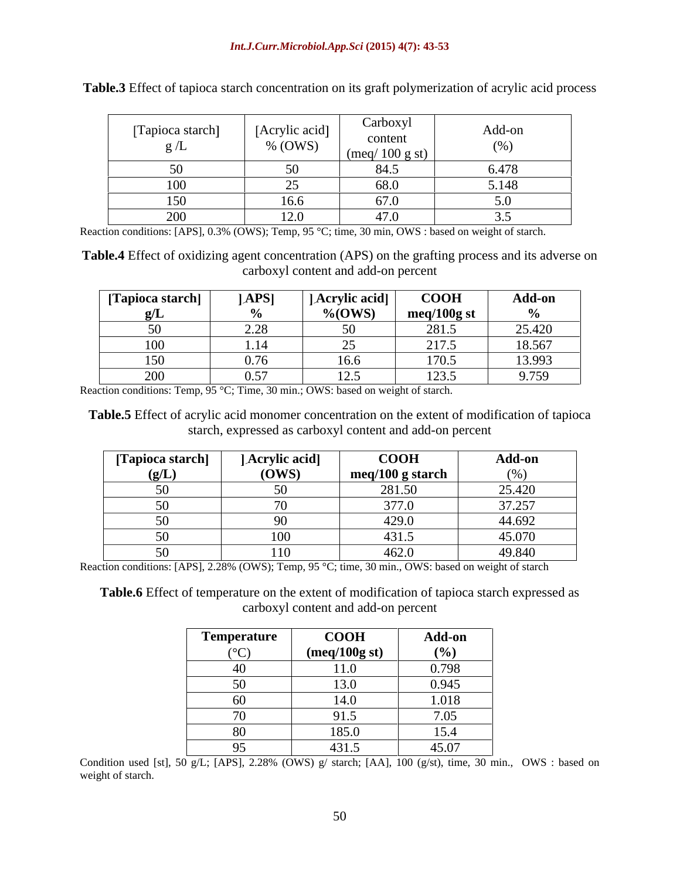| [Tapioca starch]<br><u>ະ</u> / ∟ | [Acrylic acid]<br>$\%$ (OWS) | Carboxyl<br>content<br>$(meq/100 \text{ g} \text{ st})$ | Add-on<br>(0) |
|----------------------------------|------------------------------|---------------------------------------------------------|---------------|
|                                  |                              | 84.J                                                    | 6.478         |
|                                  |                              | 68.0                                                    | 5.148         |
| 150                              | 166<br>1 U.L                 | 67.0                                                    |               |
| $\Omega$<br>ZUU                  | 12.0                         | 47.0                                                    |               |

**Table.3** Effect of tapioca starch concentration on its graft polymerization of acrylic acid process

Reaction conditions: [APS], 0.3% (OWS); Temp, 95 °C; time, 30 min, OWS : based on weight of starch.

**Table.4** Effect of oxidizing agent concentration (APS) on the grafting process and its adverse on carboxyl content and add-on percent

| [Tapioca starch] | APS         | $ A$ crylic acid <sup>1</sup> | <b>COOH</b>   | <b>Add-on</b>  |
|------------------|-------------|-------------------------------|---------------|----------------|
|                  |             | $\%$ (OWS)                    | $meq/100g$ st |                |
|                  | 200<br>2.20 | $\epsilon$                    | റ01           | 25.420         |
| 100              | 1.14        |                               | $\frac{1}{2}$ | 18.567         |
| 150              |             |                               |               | 13.993         |
| $\angle$ UV      | 0.57        | $1 \angle 0$                  | $\sim$ $\sim$ | 0.750<br>7.137 |

Reaction conditions: Temp, 95 °C; Time, 30 min.; OWS: based on weight of starch.

**Table.5** Effect of acrylic acid monomer concentration on the extent of modification of tapioca starch, expressed as carboxyl content and add-on percent

| [Tapioca starch]                                | Acrylic acid                   | <b>COOH</b>      | <b>Add-on</b> |
|-------------------------------------------------|--------------------------------|------------------|---------------|
| (g/L)                                           | (OWS)                          | meq/100 g starch | (% )          |
| 50<br>$\sim$ $\circ$                            | $50^{\circ}$<br>$\sim$ $\circ$ | 281.50           | 25.420        |
| $\epsilon$<br>$\sim$ $\sim$                     | $\sim$ $\sim$                  | 377.0            | 37.257        |
| $\epsilon$ <sup><math>\alpha</math></sup><br>ັບ | $\sim$ $\sim$                  | 429.0            | 44.692        |
| $\sim$ $\sim$                                   | 100                            | 431.5            | 45.070        |
| $\sim$ $\circ$                                  | 110                            | 462.0            | 49.840        |

Reaction conditions: [APS], 2.28% (OWS); Temp, 95 °C; time, 30 min., OWS: based on weight of starch

**Table.6** Effect of temperature on the extent of modification of tapioca starch expressed as carboxyl content and add-on percent

| <b>CONTRACTOR</b><br><b>Temperature</b>     | <b>COOH</b>   | <b>Add-on</b> |
|---------------------------------------------|---------------|---------------|
| (0)<br>$\cup$                               | (meq/100g st) | (9/0)         |
| $\sim$                                      | 11.0          | 0.798         |
|                                             | 13.0          | 0.945         |
| $\overline{\phantom{1}}$<br>00 <sub>1</sub> | l 4.0         | 1.018         |
| 7 V                                         | 91.5          | 7.05          |
| $\mathbf{O} \mathbf{C}$<br>vv               | 185.0         | 15.4          |
| ີ                                           | 431.5         | 45.07         |

Condition used [st],  $50$  g/L; [APS],  $2.28\%$  (OWS) g/ starch; [AA], 100 (g/st), time, 30 min., OWS : based on weight of starch.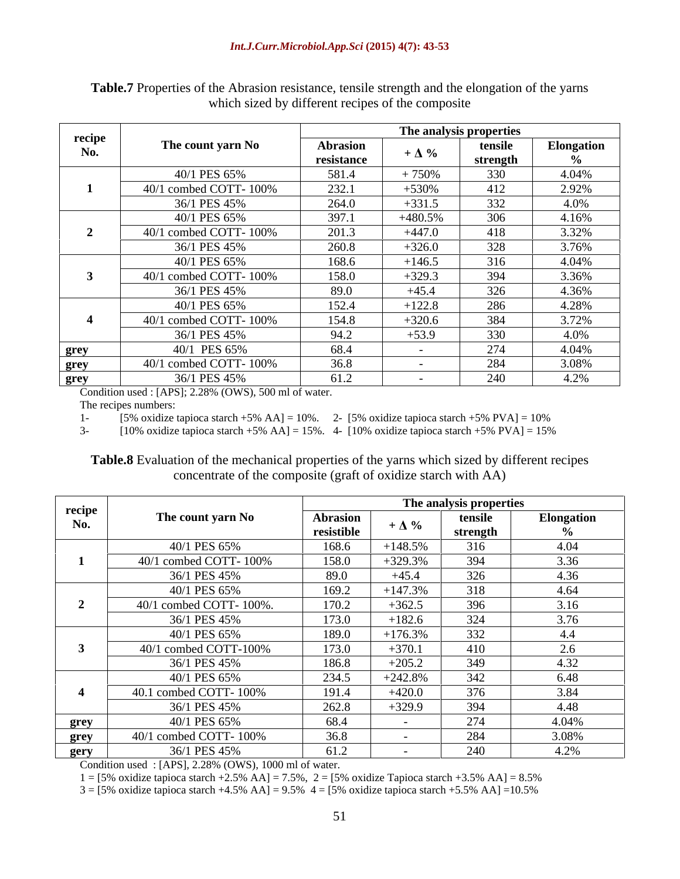|                               |                 | The analysis properties |                    |                   |
|-------------------------------|-----------------|-------------------------|--------------------|-------------------|
| recipe<br>The count yarn No   | <b>Abrasion</b> |                         | tensile            | <b>Elongation</b> |
|                               | resistance      | $+\Delta\%$             | strength           |                   |
| 40/1 PES 65%                  | 581.4           | $-750%$                 | 330                | 4.04%             |
| 40/1 combed COTT-100%         | 232.1           | $+530%$                 | $\sqrt{11}$<br>41Z | 2.92%             |
| 36/1 PES 45%                  | 264.0           | $+331.5$                |                    | 4.0%              |
| 40/1 PES 65%                  | 397.1           | $+480.5%$               | 306                | 4.16%             |
| 40/1 combed COTT-100%         | 201.3           | $+447.0$                | 418                | 3.32%             |
| 36/1 PES 45%                  | 260.8           | $+326.0$                |                    | 3.76%             |
| 40/1 PES 65%                  | 168.6           | $+146.5$                | 316                | 4.04%             |
| 40/1 combed COTT-100%         | 158.0           | $+329.3$                | 394                | 3.36%             |
| 36/1 PES 45%                  | 89.0            | $+45.4$                 | 326                | 4.36%             |
| 40/1 PES 65%                  | 152.4           | 122.8                   |                    | 4.28%             |
| 40/1 combed COTT-100%         | 154.8           | $+320.6$                | 384                | 3.72%             |
| 36/1 PES 45%                  | 94.2            | $+53.9$                 | 330                | 4.0%              |
| 40/1 PES 65%<br>grey          | 68.4            |                         |                    | 4.04%             |
| 40/1 combed COTT-100%<br>grey | 36.8            |                         | 204                | 3.08%             |
| 36/1 PES 45%<br>grey          | 61 2            |                         | 240                | 4.2%              |

**Table.7** Properties of the Abrasion resistance, tensile strength and the elongation of the yarns which sized by different recipes of the composite

Condition used : [APS]; 2.28% (OWS), 500 ml of water.

The recipes numbers:

1-  $[5\%$  oxidize tapioca starch +5% AA] = 10%. 2- [5% oxidize tapioca starch +5% PVA] = 10%

3-  $[10\% \text{ oxidize } \tan \theta + 5\% \text{ AA}] = 15\%$ . 4-  $[10\% \text{ oxidize } \tan \theta + 5\% \text{ PVA}] = 15\%$ 

**Table.8** Evaluation of the mechanical properties of the yarns which sized by different recipes concentrate of the composite (graft of oxidize starch with AA)

|        |                        |                               |               | The analysis properties |            |
|--------|------------------------|-------------------------------|---------------|-------------------------|------------|
| recipe | The count yarn No      | <b>Abrasion</b><br>resistible | $+\Delta \%$  | tensile<br>strength     | Elongation |
|        | 40/1 PES 65%           | 168.6                         | $+148.5%$     |                         |            |
|        | 40/1 combed COTT-100%  | 158.0                         | $+329.3%$     | 394                     |            |
|        | 36/1 PES 45%           | 89.0                          | $+45.4$       | 326                     | 4.36       |
|        | 40/1 PES 65%           | 169.2                         | $+147.3%$     | 318                     | 4.64       |
|        | 40/1 combed COTT-100%. | .70.2                         | $+362.5$      | 396                     |            |
|        | 36/1 PES 45%           | 173.0                         | $+182.6$      | 324                     |            |
|        | 40/1 PES 65%           | 189.0                         | $+176.3%$     | 332                     | 4.4        |
|        | 40/1 combed COTT-100%  | 173.0                         | $+370.1$      | 410                     |            |
|        | 36/1 PES 45%           | 186.8                         | $+205.2$      | 349                     |            |
|        | 40/1 PES 65%           | 234.5                         | $+242.8%$     | 342                     | 6.48       |
|        | 40.1 combed COTT-100%  | 191.4                         | $+420.0$      | 376                     | 3 X.A      |
|        | 36/1 PES 45%           | 262.8                         | $+329.9$      | 394                     | 4.48       |
| grey   | 40/1 PES 65%           | 68.4                          |               | 274                     | 4.04%      |
| grey   | 40/1 combed COTT-100%  | 36.8                          |               | 284                     | $08\%$     |
| gery   | 36/1 PES 45%           | $-1$ $\sim$                   | $\sim$ $\sim$ | 240                     |            |

Condition used : [APS], 2.28% (OWS), 1000 ml of water.

1 =  $[5\%$  oxidize tapioca starch +2.5% AA] = 7.5%, 2 =  $[5\%$  oxidize Tapioca starch +3.5% AA] = 8.5%

 $3 = [5\% \text{ oxidize } \tan \theta \text{ is taken} + 4.5\% \text{ AA}] = 9.5\% \text{ A} = [5\% \text{ oxidize } \tan \theta \text{ is taken} + 5.5\% \text{ AA}] = 10.5\%$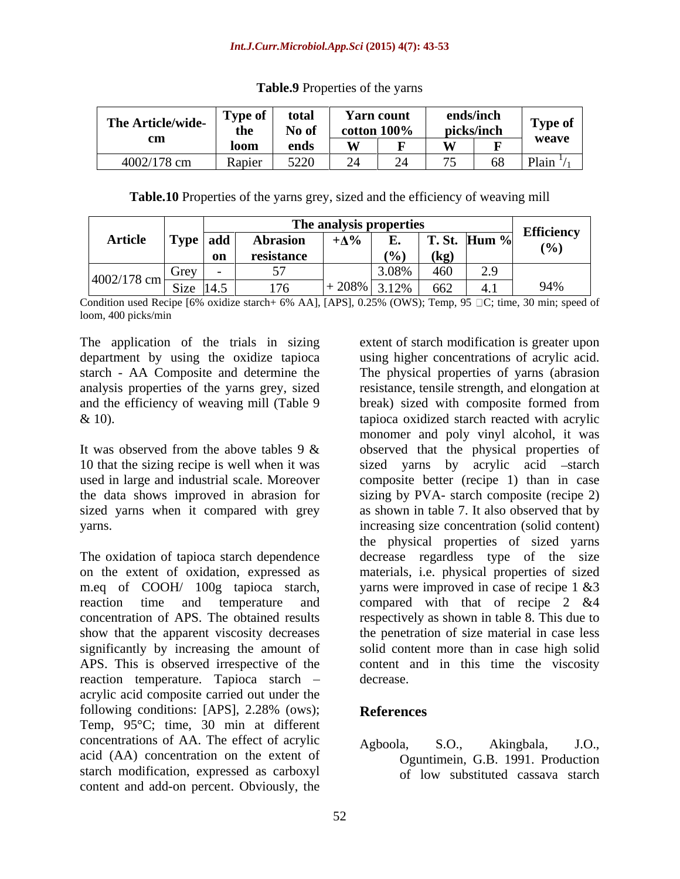|                    | Type of |      | Yarn count                   |                                                 |                                             |  |
|--------------------|---------|------|------------------------------|-------------------------------------------------|---------------------------------------------|--|
| The Article/wide-  |         |      | the   No of   cotton $100\%$ | picks/inch                                      |                                             |  |
|                    |         | ends |                              | $\mathbf{X} \mathbf{X} \mathbf{Z} = \mathbf{I}$ | weave                                       |  |
| 4002/178 cm Rapier |         |      |                              | $ -$                                            | $\epsilon$ <sup>0</sup>   D <sub>lo</sub> : |  |

**Table.9** Properties of the yarns

**Table.10** Properties of the yarns grey, sized and the efficiency of weaving mill

|                | $\mathcal{F}$ s propertic.                                              | Efficiency |
|----------------|-------------------------------------------------------------------------|------------|
| <b>Article</b> | $+\Lambda \%$<br>$\top$ T. St. Hum %<br>  add  <br>  1 ype              |            |
|                | on   resistance<br>$(\mathbf{k}\mathbf{p})$<br>$\mathbf{U}$             |            |
|                |                                                                         |            |
|                | $\frac{14002}{178}$ cm $\frac{Oley}{Size}$ 14.5<br>176<br>$-$ 2080/ $-$ | 94%        |

Condition used Recipe [6% oxidize starch+ 6% AA], [APS], 0.25% (OWS); Temp, 95  $\Box C$ ; time, 30 min; speed of loom, 400 picks/min

The application of the trials in sizing extent of starch modification isgreater upon

10 that the sizing recipe is well when it was

reaction temperature. Tapioca starch – decrease. acrylic acid composite carried out under the following conditions: [APS], 2.28% (ows); **References** Temp, 95°C; time, 30 min at different concentrations of AA. The effect of acrylic  $\alpha$  Agboola, S.O., Akingbala, J.O., acid (AA) concentration on the extent of starch modification, expressed as carboxyl of low substituted cassava starch content and add-on percent. Obviously, the

department by using the oxidize tapioca using higher concentrations of acrylic acid. starch - AA Composite and determine the The physical properties of yarns (abrasion analysis properties of the yarns grey, sized resistance, tensile strength, and elongation at and the efficiency of weaving mill (Table 9 break) sized with composite formed from & 10). tapioca oxidized starch reacted with acrylic It was observed from the above tables 9 & observed that the physical properties of used in large and industrial scale. Moreover composite better (recipe 1) than in case the data shows improved in abrasion for sizing by PVA- starch composite (recipe 2) sized yarns when it compared with grey as shown in table 7. It also observed that by yarns. increasing size concentration (solid content) The oxidation of tapioca starch dependence decrease regardless type of the size on the extent of oxidation, expressed as materials, i.e. physical properties of sized m.eq of COOH/ 100g tapioca starch, yarns were improved in case of recipe 1 &3 reaction time and temperature and compared with that of recipe 2 &4 concentration of APS. The obtained results respectively as shown in table 8. This due to show that the apparent viscosity decreases the penetration of size material in case less significantly by increasing the amount of solid content more than in case high solid APS. This is observed irrespective of the content and in this time the viscosity monomer and poly vinyl alcohol, it was sized yarns by acrylic acid –starch the physical properties of sized yarns decrease.

# **References**

Agboola, S.O., Akingbala, J.O., Oguntimein, G.B. 1991. Production of low substituted cassava starch